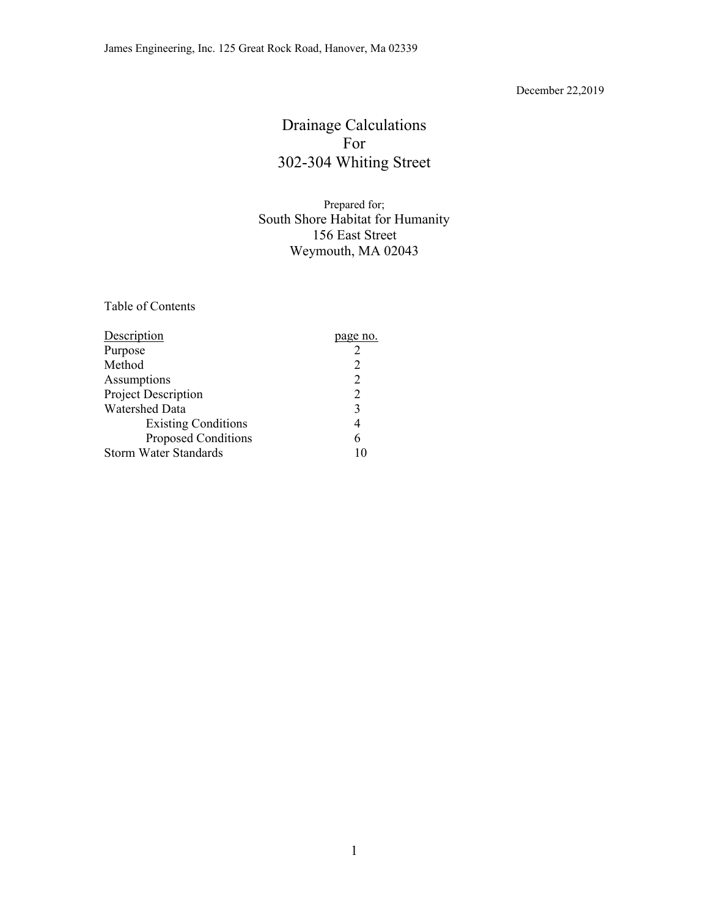#### December 22,2019

# Drainage Calculations For 302-304 Whiting Street

# Prepared for; South Shore Habitat for Humanity 156 East Street Weymouth, MA 02043

Table of Contents

| Description                  | page no.       |
|------------------------------|----------------|
| Purpose                      |                |
| Method                       |                |
| Assumptions                  | $\overline{2}$ |
| Project Description          | 2              |
| <b>Watershed Data</b>        | 3              |
| <b>Existing Conditions</b>   | 4              |
| <b>Proposed Conditions</b>   | 6              |
| <b>Storm Water Standards</b> |                |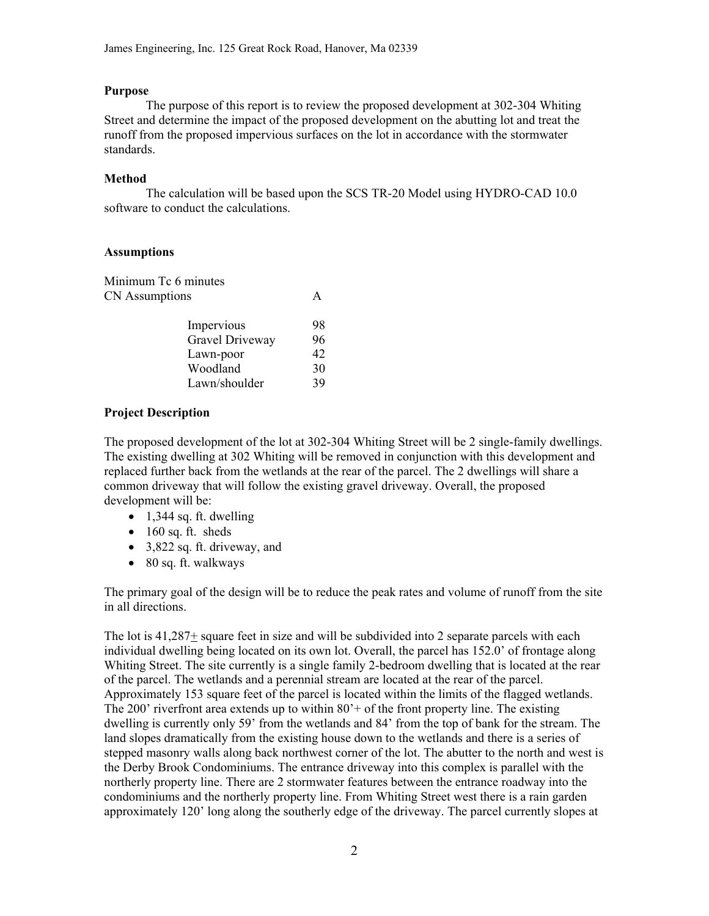## **Purpose**

The purpose of this report is to review the proposed development at 302-304 Whiting Street and determine the impact of the proposed development on the abutting lot and treat the runoff from the proposed impervious surfaces on the lot in accordance with the stormwater standards.

## **Method**

 The calculation will be based upon the SCS TR-20 Model using HYDRO-CAD 10.0 software to conduct the calculations.

# **Assumptions**

| 98 |
|----|
| 96 |
| 42 |
| 30 |
| 39 |
|    |

# **Project Description**

The proposed development of the lot at 302-304 Whiting Street will be 2 single-family dwellings. The existing dwelling at 302 Whiting will be removed in conjunction with this development and replaced further back from the wetlands at the rear of the parcel. The 2 dwellings will share a common driveway that will follow the existing gravel driveway. Overall, the proposed development will be:

- $\bullet$  1,344 sq. ft. dwelling
- $\bullet$  160 sq. ft. sheds
- 3,822 sq. ft. driveway, and
- 80 sq. ft. walkways

The primary goal of the design will be to reduce the peak rates and volume of runoff from the site in all directions.

The lot is  $41,287\pm$  square feet in size and will be subdivided into 2 separate parcels with each individual dwelling being located on its own lot. Overall, the parcel has 152.0' of frontage along Whiting Street. The site currently is a single family 2-bedroom dwelling that is located at the rear of the parcel. The wetlands and a perennial stream are located at the rear of the parcel. Approximately 153 square feet of the parcel is located within the limits of the flagged wetlands. The 200' riverfront area extends up to within  $80'$  + of the front property line. The existing dwelling is currently only 59' from the wetlands and 84' from the top of bank for the stream. The land slopes dramatically from the existing house down to the wetlands and there is a series of stepped masonry walls along back northwest corner of the lot. The abutter to the north and west is the Derby Brook Condominiums. The entrance driveway into this complex is parallel with the northerly property line. There are 2 stormwater features between the entrance roadway into the condominiums and the northerly property line. From Whiting Street west there is a rain garden approximately 120' long along the southerly edge of the driveway. The parcel currently slopes at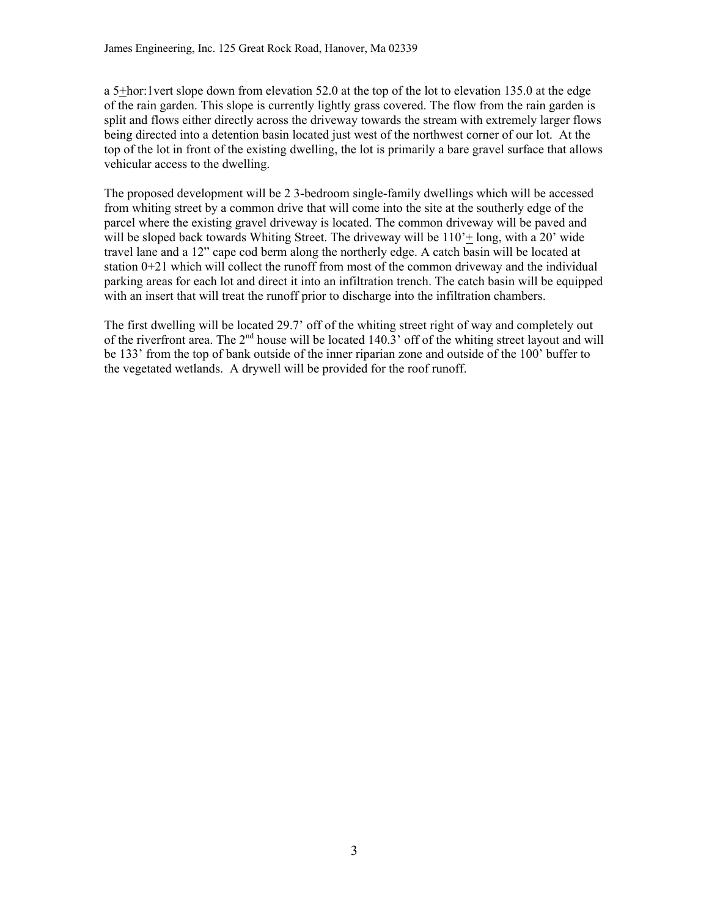a 5+hor:1vert slope down from elevation 52.0 at the top of the lot to elevation 135.0 at the edge of the rain garden. This slope is currently lightly grass covered. The flow from the rain garden is split and flows either directly across the driveway towards the stream with extremely larger flows being directed into a detention basin located just west of the northwest corner of our lot. At the top of the lot in front of the existing dwelling, the lot is primarily a bare gravel surface that allows vehicular access to the dwelling.

The proposed development will be 2 3-bedroom single-family dwellings which will be accessed from whiting street by a common drive that will come into the site at the southerly edge of the parcel where the existing gravel driveway is located. The common driveway will be paved and will be sloped back towards Whiting Street. The driveway will be  $110<sup>+</sup>$  long, with a 20' wide travel lane and a 12" cape cod berm along the northerly edge. A catch basin will be located at station 0+21 which will collect the runoff from most of the common driveway and the individual parking areas for each lot and direct it into an infiltration trench. The catch basin will be equipped with an insert that will treat the runoff prior to discharge into the infiltration chambers.

The first dwelling will be located 29.7' off of the whiting street right of way and completely out of the riverfront area. The  $2<sup>nd</sup>$  house will be located 140.3' off of the whiting street layout and will be 133' from the top of bank outside of the inner riparian zone and outside of the 100' buffer to the vegetated wetlands. A drywell will be provided for the roof runoff.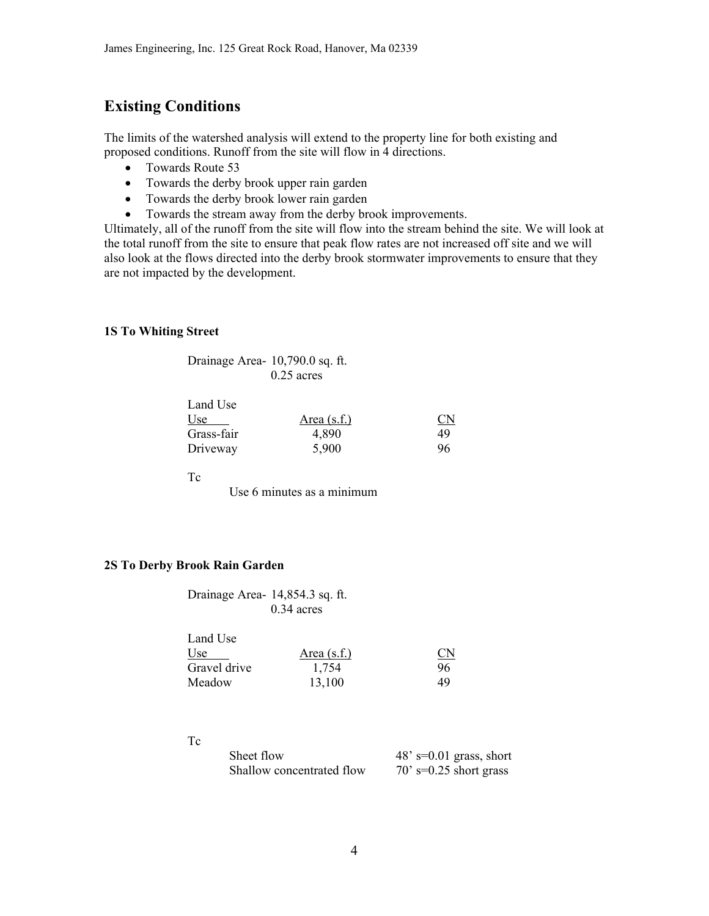# **Existing Conditions**

The limits of the watershed analysis will extend to the property line for both existing and proposed conditions. Runoff from the site will flow in 4 directions.

- Towards Route 53
- Towards the derby brook upper rain garden
- Towards the derby brook lower rain garden
- Towards the stream away from the derby brook improvements.

Ultimately, all of the runoff from the site will flow into the stream behind the site. We will look at the total runoff from the site to ensure that peak flow rates are not increased off site and we will also look at the flows directed into the derby brook stormwater improvements to ensure that they are not impacted by the development.

#### **1S To Whiting Street**

| Drainage Area- 10,790.0 sq. ft. |              |
|---------------------------------|--------------|
|                                 | $0.25$ acres |

| Land Use   |               |                        |
|------------|---------------|------------------------|
| Use        | Area $(s.f.)$ | $\overline{\text{CN}}$ |
| Grass-fair | 4.890         | 49                     |
| Driveway   | 5,900         | 96                     |

Tc

Use 6 minutes as a minimum

# **2S To Derby Brook Rain Garden**

| Drainage Area- 14,854.3 sq. ft. |              |
|---------------------------------|--------------|
|                                 | $0.34$ acres |

| Land Use     |               |                        |
|--------------|---------------|------------------------|
| Use          | Area $(s.f.)$ | $\overline{\text{CN}}$ |
| Gravel drive | 1.754         | 96                     |
| Meadow       | 13,100        | 49                     |

Tc

| Sheet flow                | $48'$ s=0.01 grass, short |
|---------------------------|---------------------------|
| Shallow concentrated flow | $70'$ s=0.25 short grass  |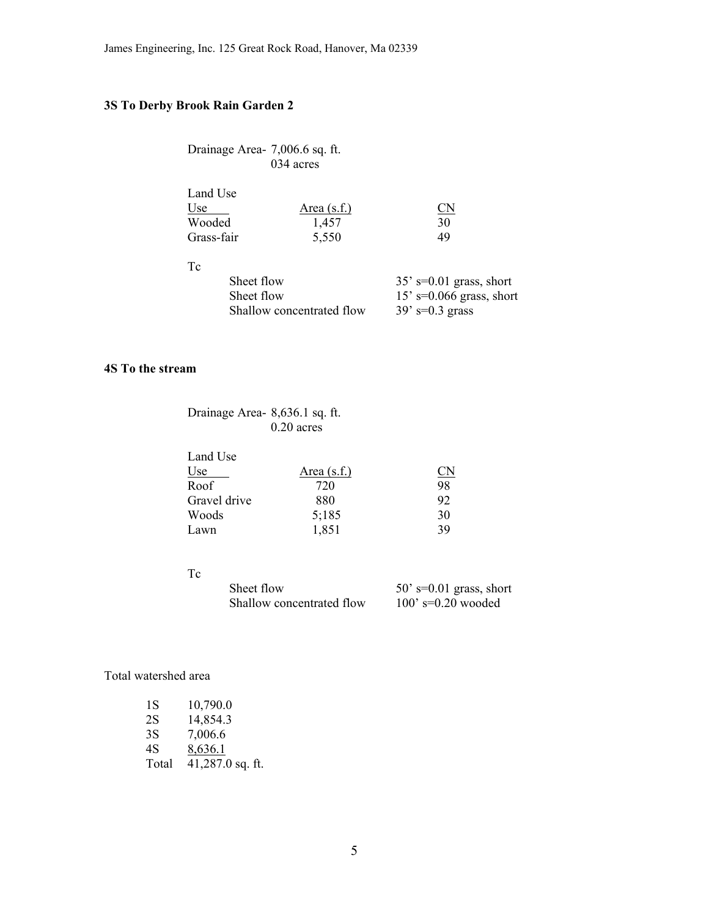# **3S To Derby Brook Rain Garden 2**

| Drainage Area- 7,006.6 sq. ft. |           |
|--------------------------------|-----------|
|                                | 034 acres |

| Land Use   |               |                        |
|------------|---------------|------------------------|
| Use        | Area $(s.f.)$ | $\mathbb{C}\mathbb{N}$ |
| Wooded     | 1.457         | 30                     |
| Grass-fair | 5,550         | 49                     |

Tc

| Sheet flow                | $35'$ s=0.01 grass, short  |
|---------------------------|----------------------------|
| Sheet flow                | $15'$ s=0.066 grass, short |
| Shallow concentrated flow | $39' s = 0.3$ grass        |

## **4S To the stream**

# Drainage Area- 8,636.1 sq. ft. 0.20 acres

| Land Use     |               |           |
|--------------|---------------|-----------|
| Use          | Area $(s.f.)$ | <u>CN</u> |
| Roof         | 720           | 98        |
| Gravel drive | 880           | 92        |
| Woods        | 5:185         | 30        |
| Lawn         | 1,851         | 39        |

# Tc

| Sheet flow                | $50'$ s=0.01 grass, short |
|---------------------------|---------------------------|
| Shallow concentrated flow | $100'$ s=0.20 wooded      |

# Total watershed area

| 18    | 10,790.0           |
|-------|--------------------|
| 2S    | 14,854.3           |
| 3S    | 7,006.6            |
| 4S    | 8,636.1            |
| Total | $41,287.0$ sq. ft. |
|       |                    |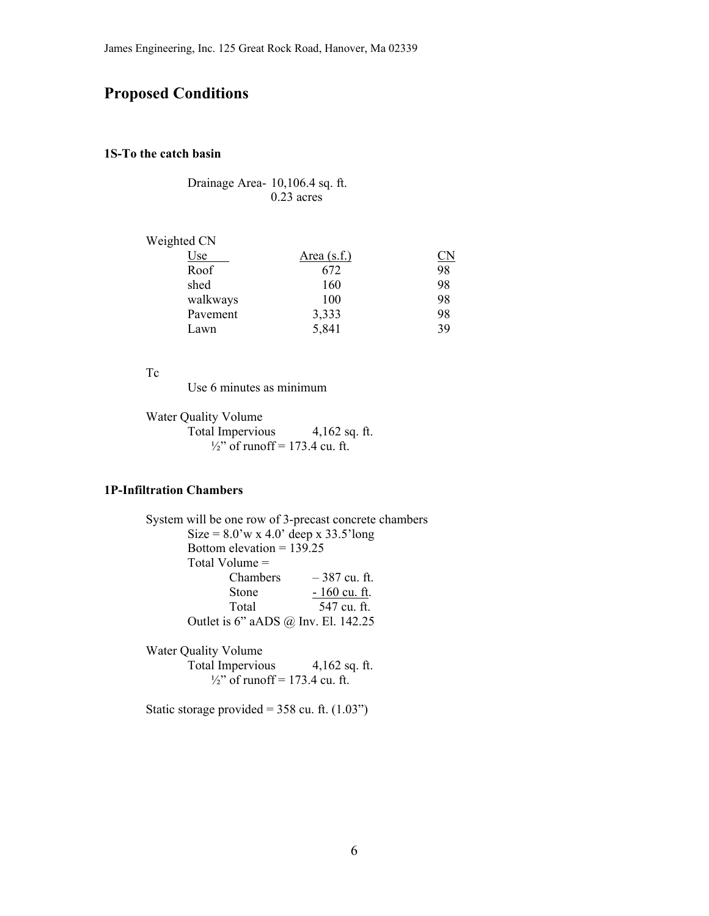# **Proposed Conditions**

### **1S-To the catch basin**

 Drainage Area- 10,106.4 sq. ft. 0.23 acres

| Weighted CN |                    |           |
|-------------|--------------------|-----------|
| Use         | <u>Area (s.f.)</u> | <u>CN</u> |
| Roof        | 672                | 98        |
| shed        | 160                | 98        |
| walkways    | 100                | 98        |
| Pavement    | 3,333              | 98        |
| Lawn        | 5,841              | 39        |

#### Tc

Use 6 minutes as minimum

Water Quality Volume Total Impervious 4,162 sq. ft.  $\frac{1}{2}$ " of runoff = 173.4 cu. ft.

# **1P-Infiltration Chambers**

 System will be one row of 3-precast concrete chambers Size =  $8.0$ 'w x  $4.0$ ' deep x  $33.5$ 'long Bottom elevation = 139.25 Total Volume = Chambers  $-387$  cu. ft. Stone  $-160 \text{ cu. ft.}$  Total 547 cu. ft. Outlet is 6" aADS @ Inv. El. 142.25 Water Quality Volume Total Impervious 4,162 sq. ft.  $\frac{1}{2}$ " of runoff = 173.4 cu. ft.

Static storage provided =  $358$  cu. ft.  $(1.03")$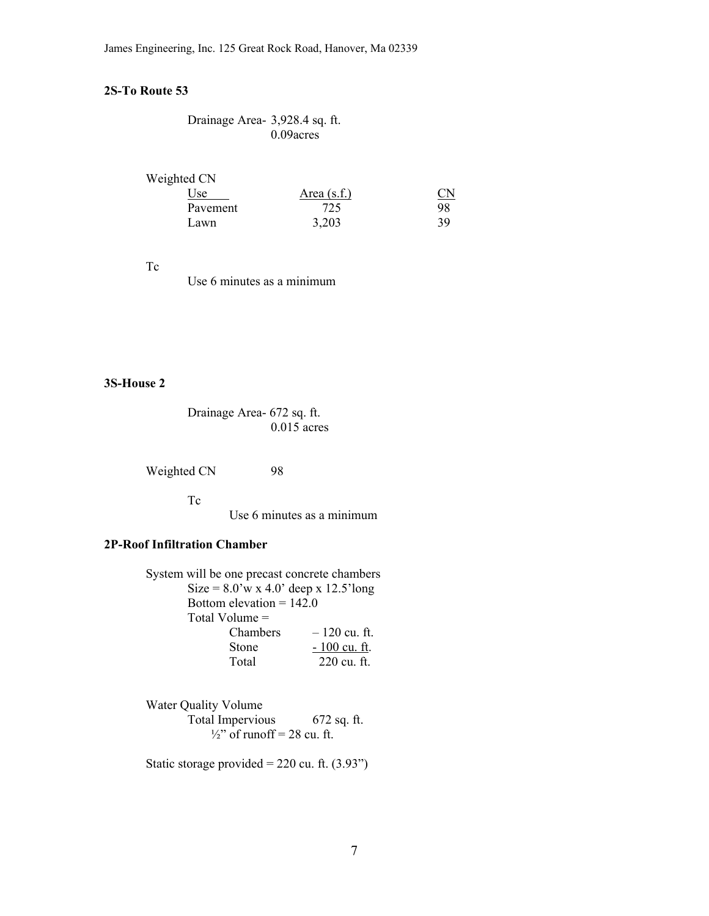## **2S-To Route 53**

| Drainage Area- 3,928.4 sq. ft. |              |
|--------------------------------|--------------|
|                                | $0.09$ acres |

Weighted CN

| Use      | Area $(s.f.)$ | $_{\text{CN}}$ |
|----------|---------------|----------------|
| Pavement | 725           | 98             |
| Lawn     | 3,203         | 39.            |

Tc

Use 6 minutes as a minimum

# **3S-House 2**

 Drainage Area- 672 sq. ft.  $0.015$  acres

Weighted CN 98

Tc

Use 6 minutes as a minimum

## **2P-Roof Infiltration Chamber**

| System will be one precast concrete chambers |                |
|----------------------------------------------|----------------|
| Size = $8.0$ 'w x 4.0' deep x 12.5'long      |                |
| Bottom elevation = $142.0$                   |                |
| Total Volume $=$                             |                |
| Chambers                                     | $-120$ cu. ft. |
| <b>Stone</b>                                 | $-100$ cu. ft. |
| Total                                        | 220 cu. ft.    |

Water Quality Volume Total Impervious 672 sq. ft.  $\frac{1}{2}$ " of runoff = 28 cu. ft.

Static storage provided =  $220$  cu. ft.  $(3.93")$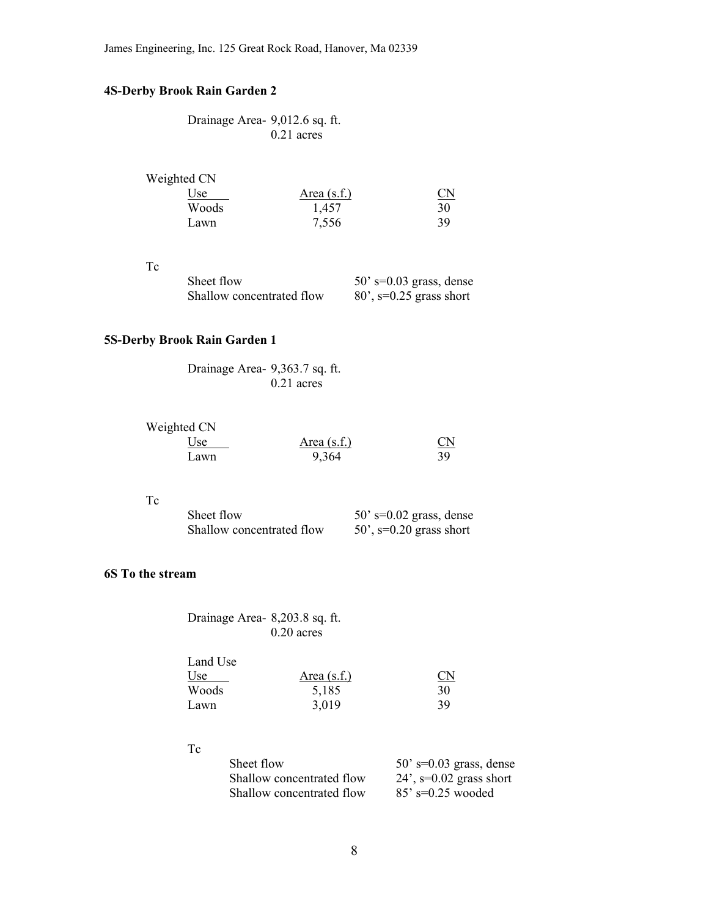# **4S-Derby Brook Rain Garden 2**

# Drainage Area- 9,012.6 sq. ft.  $0.21$  acres

| Weighted CN |            |                        |
|-------------|------------|------------------------|
| Use         | Area(s.f.) | $\overline{\text{CN}}$ |
| Woods       | 1.457      | 30                     |
| Lawn        | 7,556      | 39                     |

Tc

| Sheet flow                | $50'$ s=0.03 grass, dense  |
|---------------------------|----------------------------|
| Shallow concentrated flow | $80$ ', s=0.25 grass short |

# **5S-Derby Brook Rain Garden 1**

| Drainage Area- 9,363.7 sq. ft. |              |
|--------------------------------|--------------|
|                                | $0.21$ acres |

| Weighted CN |               |                        |
|-------------|---------------|------------------------|
| Use.        | Area $(s.f.)$ | $\overline{\text{CN}}$ |
| Lawn        | 9,364         | 39.                    |

Tc

| Sheet flow                | $50'$ s=0.02 grass, dense    |
|---------------------------|------------------------------|
| Shallow concentrated flow | $50$ ', $s=0.20$ grass short |

# **6S To the stream**

| Drainage Area-8,203.8 sq. ft. |              |
|-------------------------------|--------------|
|                               | $0.20$ acres |

| Land Use |               |                        |
|----------|---------------|------------------------|
| Use      | Area $(s.f.)$ | $\overline{\text{CN}}$ |
| Woods    | 5,185         | 30                     |
| Lawn     | 3,019         | 39                     |

## Tc

| Sheet flow                | $50'$ s=0.03 grass, dense    |
|---------------------------|------------------------------|
| Shallow concentrated flow | $24$ ', $s=0.02$ grass short |
| Shallow concentrated flow | $85'$ s=0.25 wooded          |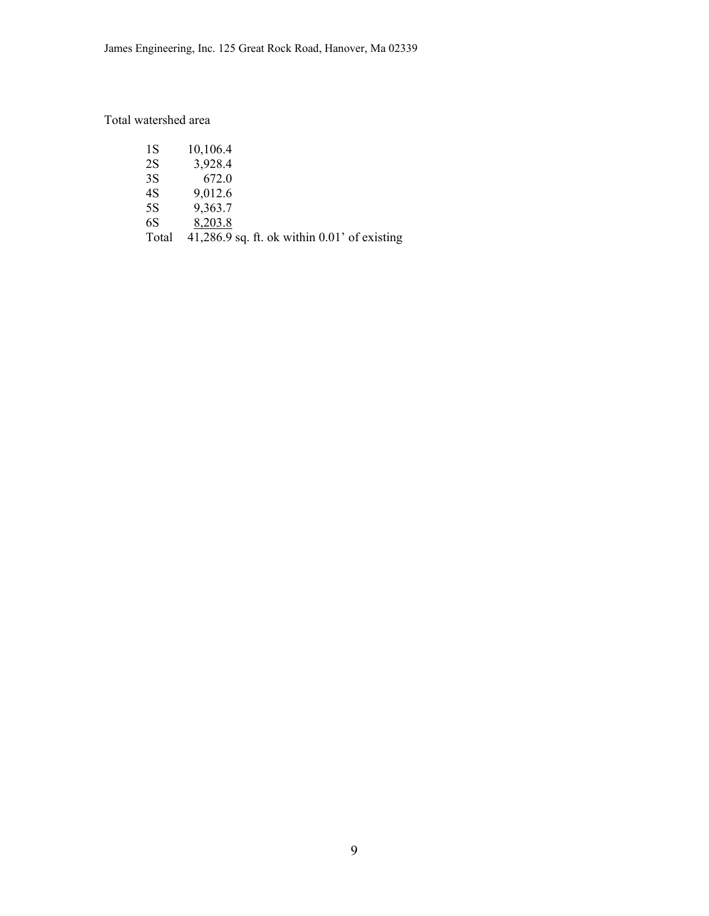# Total watershed area

| 1S    | 10,106.4                                          |
|-------|---------------------------------------------------|
| 2S    | 3,928.4                                           |
| 3S    | 672.0                                             |
| 4S    | 9,012.6                                           |
| 5S    | 9,363.7                                           |
| 6S    | 8,203.8                                           |
| Total | $41,286.9$ sq. ft. ok within $0.01$ ' of existing |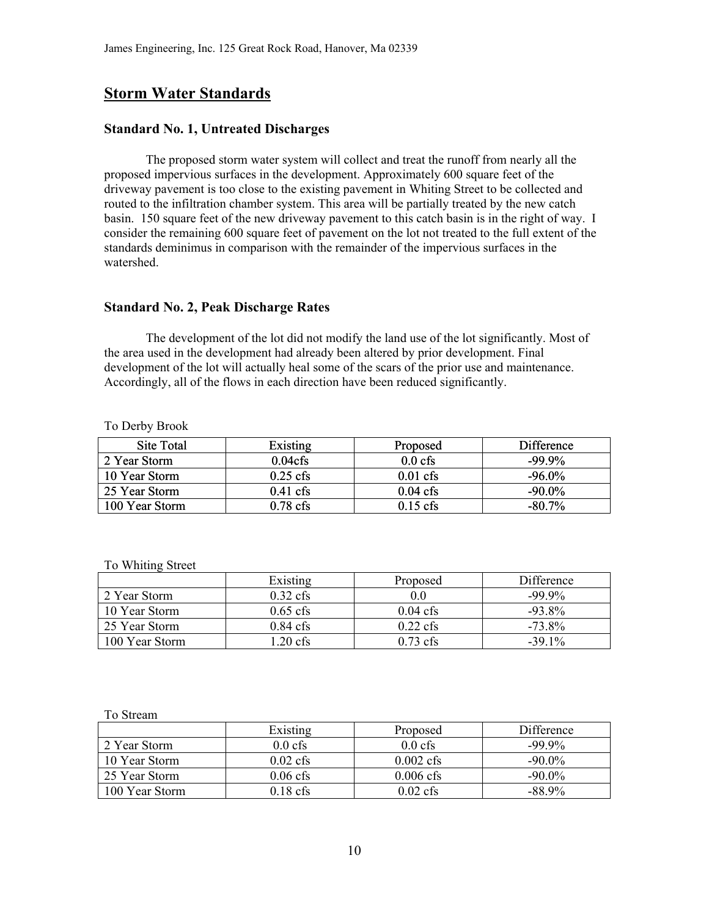# **Storm Water Standards**

### **Standard No. 1, Untreated Discharges**

 The proposed storm water system will collect and treat the runoff from nearly all the proposed impervious surfaces in the development. Approximately 600 square feet of the driveway pavement is too close to the existing pavement in Whiting Street to be collected and routed to the infiltration chamber system. This area will be partially treated by the new catch basin. 150 square feet of the new driveway pavement to this catch basin is in the right of way. I consider the remaining 600 square feet of pavement on the lot not treated to the full extent of the standards deminimus in comparison with the remainder of the impervious surfaces in the watershed.

### **Standard No. 2, Peak Discharge Rates**

 The development of the lot did not modify the land use of the lot significantly. Most of the area used in the development had already been altered by prior development. Final development of the lot will actually heal some of the scars of the prior use and maintenance. Accordingly, all of the flows in each direction have been reduced significantly.

To Derby Brook

| Site Total     | Existing            | Proposed           | Difference |
|----------------|---------------------|--------------------|------------|
| 2 Year Storm   | 0.04cf <sub>s</sub> | $0.0 \text{ cfs}$  | $-99.9\%$  |
| 10 Year Storm  | $0.25$ cfs          | $0.01 \text{ cfs}$ | $-96.0\%$  |
| 25 Year Storm  | $0.41 \text{ cfs}$  | $0.04 \text{ cfs}$ | $-90.0\%$  |
| 100 Year Storm | $0.78 \text{ cfs}$  | $0.15$ cfs         | $-80.7\%$  |

#### To Whiting Street

|                | Existing           | Proposed           | Difference |
|----------------|--------------------|--------------------|------------|
| 2 Year Storm   | $0.32 \text{ cfs}$ | 0.0                | $-99.9\%$  |
| 10 Year Storm  | $0.65$ cfs         | $0.04 \text{ cfs}$ | $-93.8\%$  |
| 25 Year Storm  | $0.84 \text{ cfs}$ | $0.22 \text{ cfs}$ | $-73.8\%$  |
| 100 Year Storm | $1.20 \text{ cfs}$ | $0.73 \text{ cfs}$ | $-39.1\%$  |

#### To Stream

|                | Existing   | Proposed            | Difference |
|----------------|------------|---------------------|------------|
| 2 Year Storm   | $0.0$ cfs  | $0.0 \text{ cfs}$   | $-99.9\%$  |
| 10 Year Storm  | $0.02$ cfs | $0.002 \text{ cfs}$ | $-90.0\%$  |
| 25 Year Storm  | $0.06$ cfs | $0.006 \text{ cfs}$ | $-90.0\%$  |
| 100 Year Storm | $0.18$ cfs | $0.02 \text{ cfs}$  | $-88.9\%$  |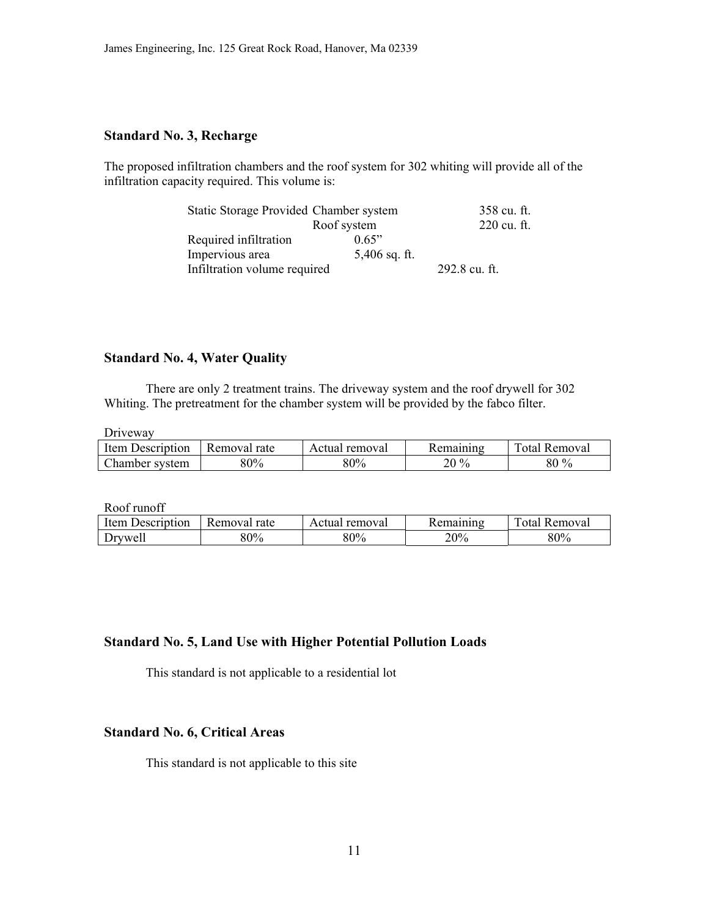# **Standard No. 3, Recharge**

The proposed infiltration chambers and the roof system for 302 whiting will provide all of the infiltration capacity required. This volume is:

| Static Storage Provided Chamber system |                 | 358 cu. ft.   |
|----------------------------------------|-----------------|---------------|
|                                        | Roof system     | 220 cu. ft.   |
| Required infiltration                  | 0.65"           |               |
| Impervious area                        | $5,406$ sq. ft. |               |
| Infiltration volume required           |                 | 292.8 cu. ft. |

# **Standard No. 4, Water Quality**

 There are only 2 treatment trains. The driveway system and the roof drywell for 302 Whiting. The pretreatment for the chamber system will be provided by the fabco filter.

Driveway

| Item<br>Jescription | Removal rate | Actual removal |          | $\mathbf{r}$<br>∂nta i<br>Removal |
|---------------------|--------------|----------------|----------|-----------------------------------|
| Chamber system      | 80%          | 80%            | $20\,\%$ | $80\%$                            |

Roof runoff

| Item<br>Description | Removal rate | removal<br>Actual | emaining! | Removal<br>otal. |
|---------------------|--------------|-------------------|-----------|------------------|
| Drywell             | 80%          | 80%               | 20%       | 80%              |

## **Standard No. 5, Land Use with Higher Potential Pollution Loads**

This standard is not applicable to a residential lot

# **Standard No. 6, Critical Areas**

This standard is not applicable to this site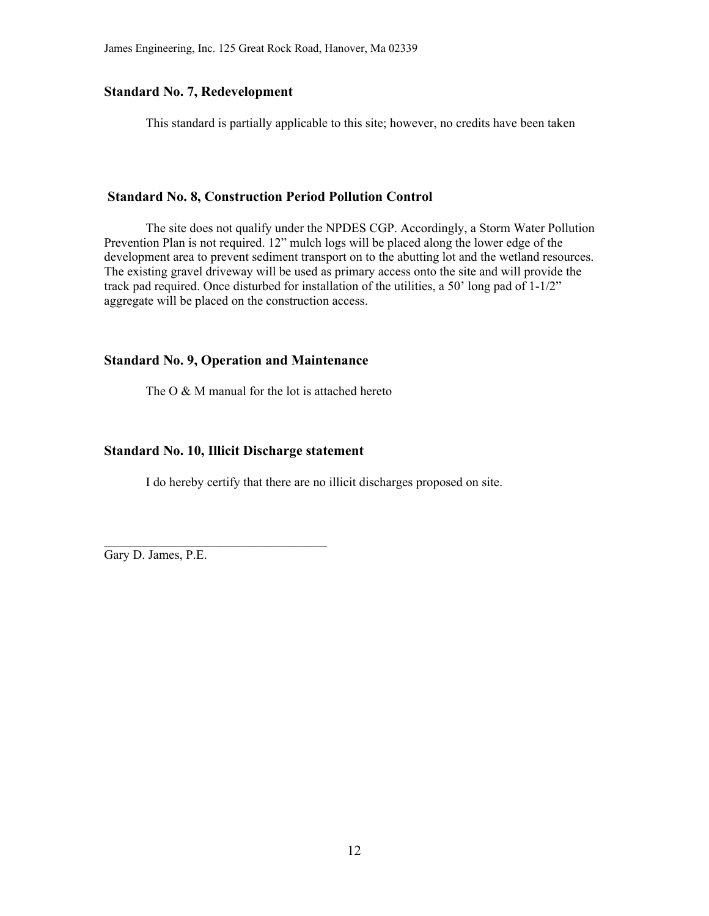# **Standard No. 7, Redevelopment**

This standard is partially applicable to this site; however, no credits have been taken

#### **Standard No. 8, Construction Period Pollution Control**

 The site does not qualify under the NPDES CGP. Accordingly, a Storm Water Pollution Prevention Plan is not required. 12" mulch logs will be placed along the lower edge of the development area to prevent sediment transport on to the abutting lot and the wetland resources. The existing gravel driveway will be used as primary access onto the site and will provide the track pad required. Once disturbed for installation of the utilities, a 50' long pad of 1-1/2" aggregate will be placed on the construction access.

### **Standard No. 9, Operation and Maintenance**

The  $O & M$  manual for the lot is attached hereto

## **Standard No. 10, Illicit Discharge statement**

 $\mathcal{L}_\text{max}$ 

I do hereby certify that there are no illicit discharges proposed on site.

Gary D. James, P.E.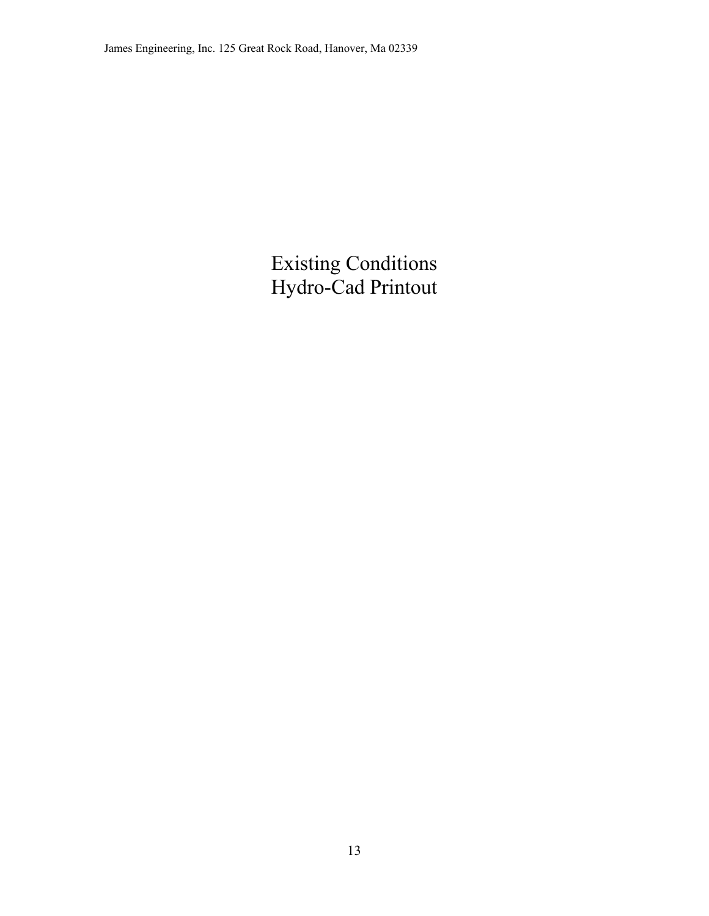# Existing Conditions Hydro-Cad Printout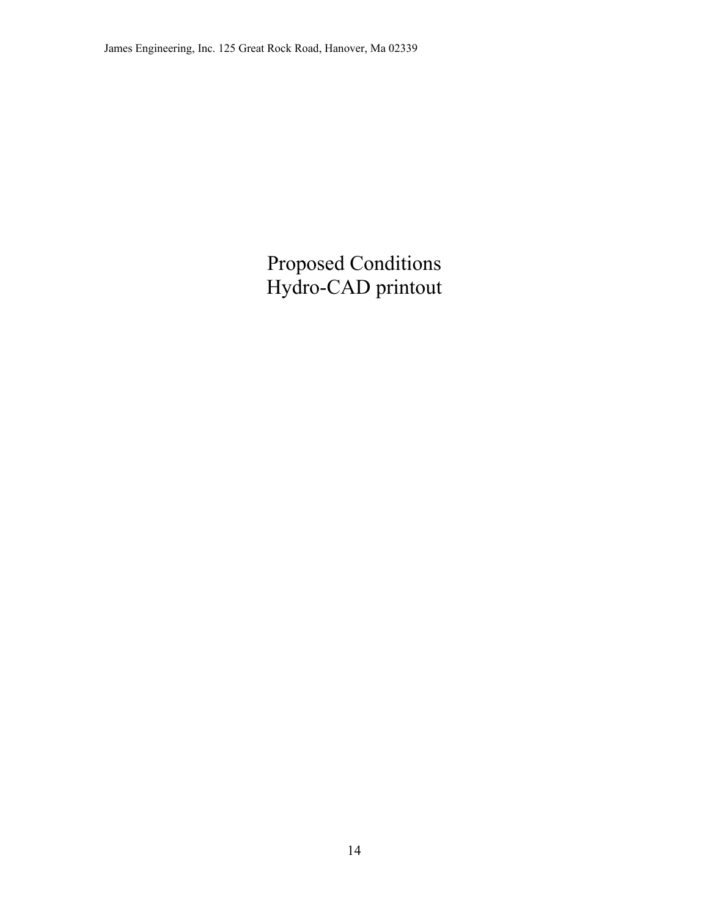Proposed Conditions Hydro-CAD printout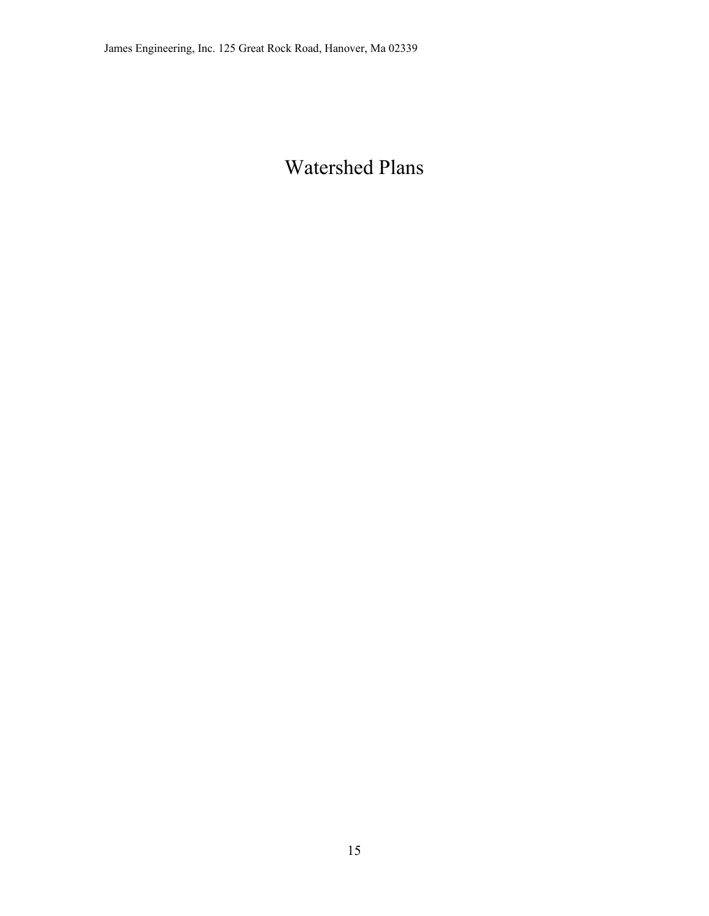# Watershed Plans